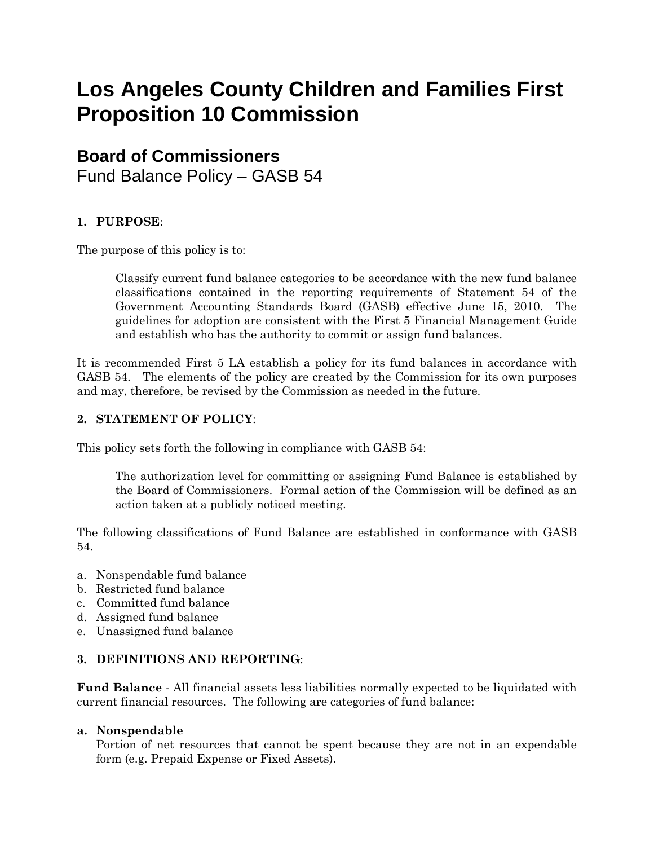# **Los Angeles County Children and Families First Proposition 10 Commission**

# **Board of Commissioners**

Fund Balance Policy – GASB 54

# **1. PURPOSE**:

The purpose of this policy is to:

Classify current fund balance categories to be accordance with the new fund balance classifications contained in the reporting requirements of Statement 54 of the Government Accounting Standards Board (GASB) effective June 15, 2010. The guidelines for adoption are consistent with the First 5 Financial Management Guide and establish who has the authority to commit or assign fund balances.

It is recommended First 5 LA establish a policy for its fund balances in accordance with GASB 54. The elements of the policy are created by the Commission for its own purposes and may, therefore, be revised by the Commission as needed in the future.

### **2. STATEMENT OF POLICY**:

This policy sets forth the following in compliance with GASB 54:

The authorization level for committing or assigning Fund Balance is established by the Board of Commissioners. Formal action of the Commission will be defined as an action taken at a publicly noticed meeting.

The following classifications of Fund Balance are established in conformance with GASB 54.

- a. Nonspendable fund balance
- b. Restricted fund balance
- c. Committed fund balance
- d. Assigned fund balance
- e. Unassigned fund balance

## **3. DEFINITIONS AND REPORTING**:

**Fund Balance** - All financial assets less liabilities normally expected to be liquidated with current financial resources. The following are categories of fund balance:

#### **a. Nonspendable**

Portion of net resources that cannot be spent because they are not in an expendable form (e.g. Prepaid Expense or Fixed Assets).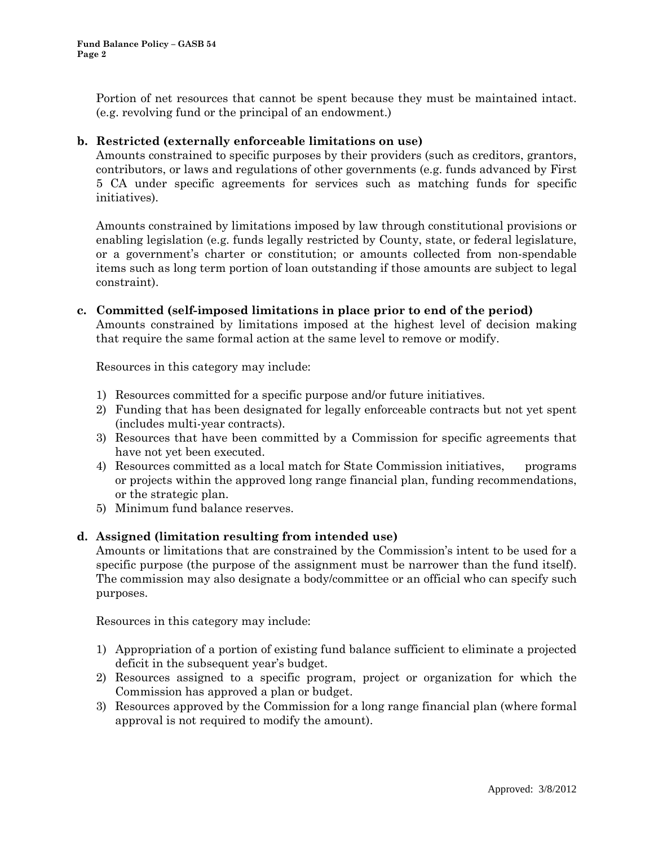Portion of net resources that cannot be spent because they must be maintained intact. (e.g. revolving fund or the principal of an endowment.)

#### **b. Restricted (externally enforceable limitations on use)**

Amounts constrained to specific purposes by their providers (such as creditors, grantors, contributors, or laws and regulations of other governments (e.g. funds advanced by First 5 CA under specific agreements for services such as matching funds for specific initiatives).

Amounts constrained by limitations imposed by law through constitutional provisions or enabling legislation (e.g. funds legally restricted by County, state, or federal legislature, or a government's charter or constitution; or amounts collected from non-spendable items such as long term portion of loan outstanding if those amounts are subject to legal constraint).

# **c. Committed (self-imposed limitations in place prior to end of the period)**

Amounts constrained by limitations imposed at the highest level of decision making that require the same formal action at the same level to remove or modify.

Resources in this category may include:

- 1) Resources committed for a specific purpose and/or future initiatives.
- 2) Funding that has been designated for legally enforceable contracts but not yet spent (includes multi-year contracts).
- 3) Resources that have been committed by a Commission for specific agreements that have not yet been executed.
- 4) Resources committed as a local match for State Commission initiatives, programs or projects within the approved long range financial plan, funding recommendations, or the strategic plan.
- 5) Minimum fund balance reserves.

#### **d. Assigned (limitation resulting from intended use)**

Amounts or limitations that are constrained by the Commission's intent to be used for a specific purpose (the purpose of the assignment must be narrower than the fund itself). The commission may also designate a body/committee or an official who can specify such purposes.

Resources in this category may include:

- 1) Appropriation of a portion of existing fund balance sufficient to eliminate a projected deficit in the subsequent year's budget.
- 2) Resources assigned to a specific program, project or organization for which the Commission has approved a plan or budget.
- 3) Resources approved by the Commission for a long range financial plan (where formal approval is not required to modify the amount).